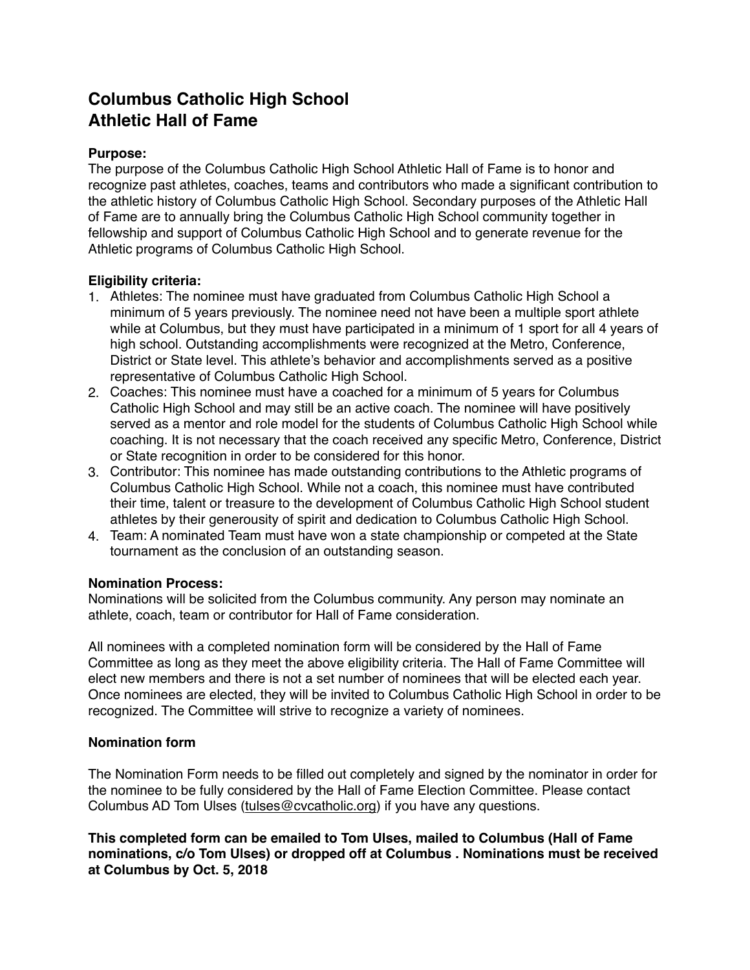# **Columbus Catholic High School Athletic Hall of Fame**

# **Purpose:**

The purpose of the Columbus Catholic High School Athletic Hall of Fame is to honor and recognize past athletes, coaches, teams and contributors who made a significant contribution to the athletic history of Columbus Catholic High School. Secondary purposes of the Athletic Hall of Fame are to annually bring the Columbus Catholic High School community together in fellowship and support of Columbus Catholic High School and to generate revenue for the Athletic programs of Columbus Catholic High School.

### **Eligibility criteria:**

- 1. Athletes: The nominee must have graduated from Columbus Catholic High School a minimum of 5 years previously. The nominee need not have been a multiple sport athlete while at Columbus, but they must have participated in a minimum of 1 sport for all 4 years of high school. Outstanding accomplishments were recognized at the Metro, Conference, District or State level. This athlete's behavior and accomplishments served as a positive representative of Columbus Catholic High School.
- 2. Coaches: This nominee must have a coached for a minimum of 5 years for Columbus Catholic High School and may still be an active coach. The nominee will have positively served as a mentor and role model for the students of Columbus Catholic High School while coaching. It is not necessary that the coach received any specific Metro, Conference, District or State recognition in order to be considered for this honor.
- 3. Contributor: This nominee has made outstanding contributions to the Athletic programs of Columbus Catholic High School. While not a coach, this nominee must have contributed their time, talent or treasure to the development of Columbus Catholic High School student athletes by their generousity of spirit and dedication to Columbus Catholic High School.
- 4. Team: A nominated Team must have won a state championship or competed at the State tournament as the conclusion of an outstanding season.

# **Nomination Process:**

Nominations will be solicited from the Columbus community. Any person may nominate an athlete, coach, team or contributor for Hall of Fame consideration.

All nominees with a completed nomination form will be considered by the Hall of Fame Committee as long as they meet the above eligibility criteria. The Hall of Fame Committee will elect new members and there is not a set number of nominees that will be elected each year. Once nominees are elected, they will be invited to Columbus Catholic High School in order to be recognized. The Committee will strive to recognize a variety of nominees.

# **Nomination form**

The Nomination Form needs to be filled out completely and signed by the nominator in order for the nominee to be fully considered by the Hall of Fame Election Committee. Please contact Columbus AD Tom Ulses [\(tulses@cvcatholic.org](mailto:tulses@cvcatholic.org)) if you have any questions.

**This completed form can be emailed to Tom Ulses, mailed to Columbus (Hall of Fame nominations, c/o Tom Ulses) or dropped off at Columbus . Nominations must be received at Columbus by Oct. 5, 2018**